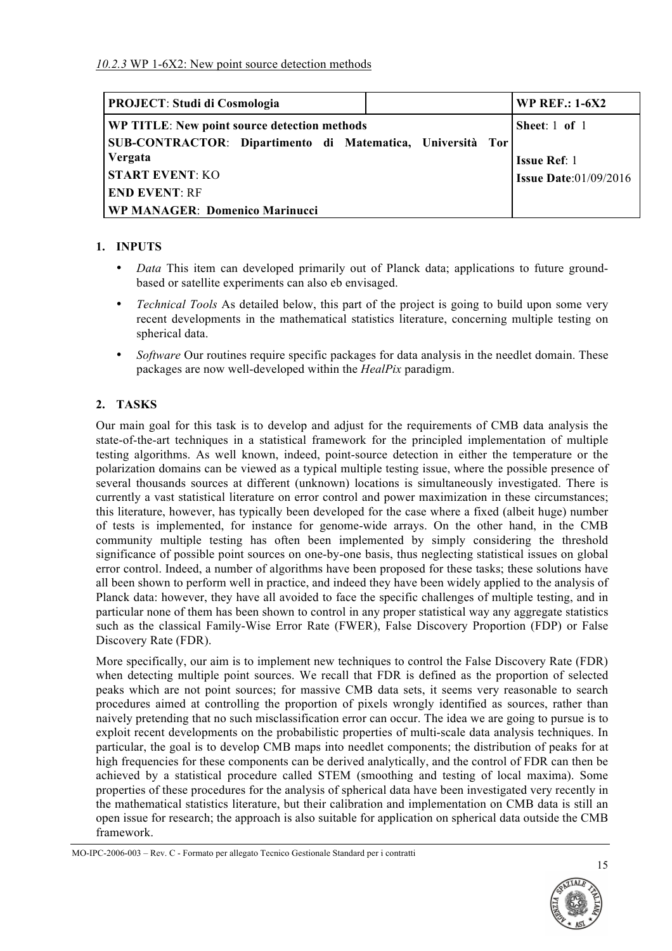| <b>PROJECT: Studi di Cosmologia</b>                        | <b>WP REF.: 1-6X2</b>        |
|------------------------------------------------------------|------------------------------|
| WP TITLE: New point source detection methods               | Sheet: $1$ of $1$            |
| SUB-CONTRACTOR: Dipartimento di Matematica, Università Tor |                              |
| Vergata                                                    | <b>Issue Ref: 1</b>          |
| <b>START EVENT: KO</b>                                     | <b>Issue Date:01/09/2016</b> |
| <b>END EVENT: RF</b>                                       |                              |
| <b>WP MANAGER: Domenico Marinucci</b>                      |                              |

## **1. INPUTS**

- *Data* This item can developed primarily out of Planck data; applications to future groundbased or satellite experiments can also eb envisaged.
- *Technical Tools* As detailed below, this part of the project is going to build upon some very recent developments in the mathematical statistics literature, concerning multiple testing on spherical data.
- *Software* Our routines require specific packages for data analysis in the needlet domain. These packages are now well-developed within the *HealPix* paradigm.

## **2. TASKS**

Our main goal for this task is to develop and adjust for the requirements of CMB data analysis the state-of-the-art techniques in a statistical framework for the principled implementation of multiple testing algorithms. As well known, indeed, point-source detection in either the temperature or the polarization domains can be viewed as a typical multiple testing issue, where the possible presence of several thousands sources at different (unknown) locations is simultaneously investigated. There is currently a vast statistical literature on error control and power maximization in these circumstances; this literature, however, has typically been developed for the case where a fixed (albeit huge) number of tests is implemented, for instance for genome-wide arrays. On the other hand, in the CMB community multiple testing has often been implemented by simply considering the threshold significance of possible point sources on one-by-one basis, thus neglecting statistical issues on global error control. Indeed, a number of algorithms have been proposed for these tasks; these solutions have all been shown to perform well in practice, and indeed they have been widely applied to the analysis of Planck data: however, they have all avoided to face the specific challenges of multiple testing, and in particular none of them has been shown to control in any proper statistical way any aggregate statistics such as the classical Family-Wise Error Rate (FWER), False Discovery Proportion (FDP) or False Discovery Rate (FDR).

More specifically, our aim is to implement new techniques to control the False Discovery Rate (FDR) when detecting multiple point sources. We recall that FDR is defined as the proportion of selected peaks which are not point sources; for massive CMB data sets, it seems very reasonable to search procedures aimed at controlling the proportion of pixels wrongly identified as sources, rather than naively pretending that no such misclassification error can occur. The idea we are going to pursue is to exploit recent developments on the probabilistic properties of multi-scale data analysis techniques. In particular, the goal is to develop CMB maps into needlet components; the distribution of peaks for at high frequencies for these components can be derived analytically, and the control of FDR can then be achieved by a statistical procedure called STEM (smoothing and testing of local maxima). Some properties of these procedures for the analysis of spherical data have been investigated very recently in the mathematical statistics literature, but their calibration and implementation on CMB data is still an open issue for research; the approach is also suitable for application on spherical data outside the CMB framework.

MO-IPC-2006-003 – Rev. C - Formato per allegato Tecnico Gestionale Standard per i contratti